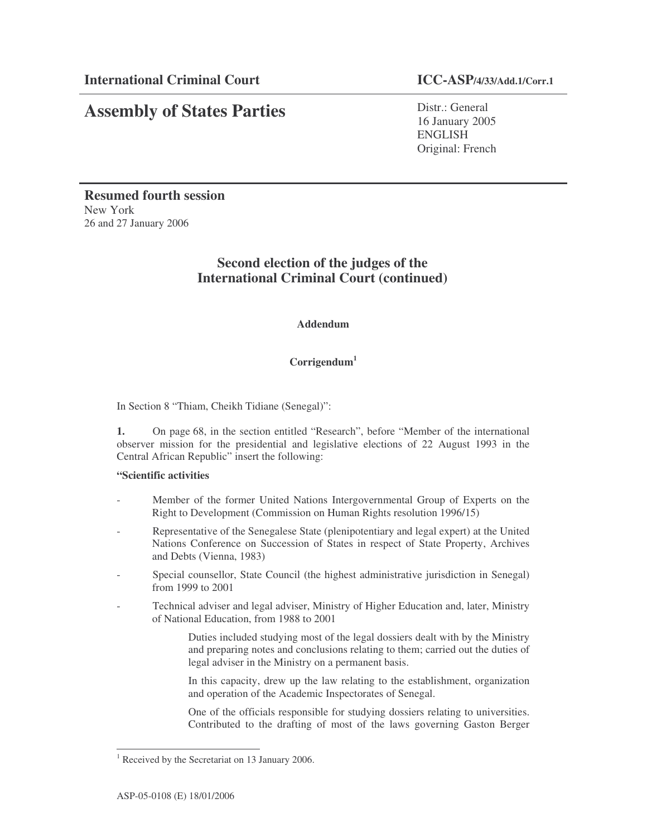Distr.: General 16 January 2005 ENGLISH Original: French

**Resumed fourth session** New York 26 and 27 January 2006

## **Second election of the judges of the International Criminal Court (continued)**

## **Addendum**

## **Corrigendum 1**

In Section 8 "Thiam, Cheikh Tidiane (Senegal)":

**1.** On page 68, in the section entitled "Research", before "Member of the international observer mission for the presidential and legislative elections of 22 August 1993 in the Central African Republic" insert the following:

## **"Scientific activities**

- Member of the former United Nations Intergovernmental Group of Experts on the Right to Development (Commission on Human Rights resolution 1996/15)
- Representative of the Senegalese State (plenipotentiary and legal expert) at the United Nations Conference on Succession of States in respect of State Property, Archives and Debts (Vienna, 1983)
- Special counsellor, State Council (the highest administrative jurisdiction in Senegal) from 1999 to 2001
- Technical adviser and legal adviser, Ministry of Higher Education and, later, Ministry of National Education, from 1988 to 2001

Duties included studying most of the legal dossiers dealt with by the Ministry and preparing notes and conclusions relating to them; carried out the duties of legal adviser in the Ministry on a permanent basis.

In this capacity, drew up the law relating to the establishment, organization and operation of the Academic Inspectorates of Senegal.

One of the officials responsible for studying dossiers relating to universities. Contributed to the drafting of most of the laws governing Gaston Berger

<sup>&</sup>lt;sup>1</sup> Received by the Secretariat on 13 January 2006.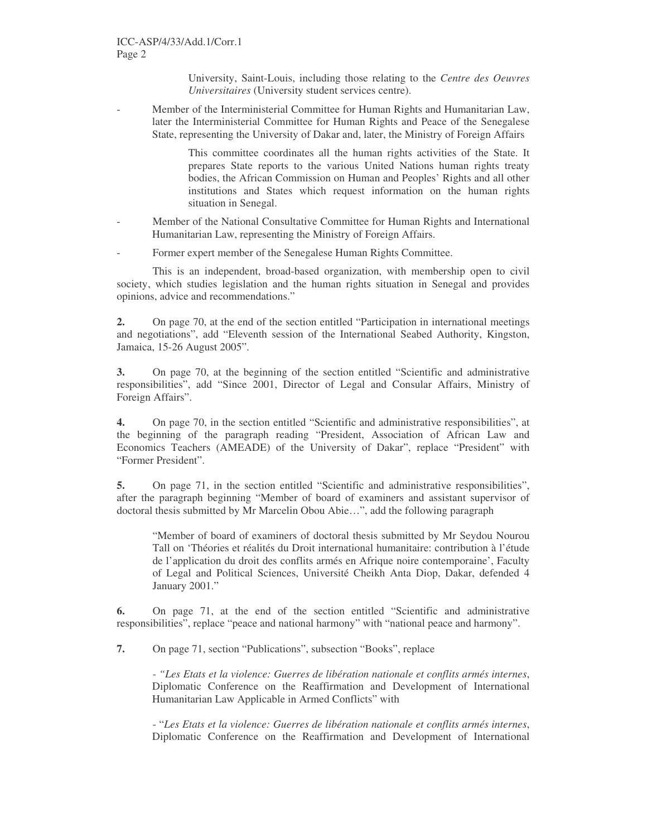University, Saint-Louis, including those relating to the *Centre des Oeuvres Universitaires* (University student services centre).

Member of the Interministerial Committee for Human Rights and Humanitarian Law, later the Interministerial Committee for Human Rights and Peace of the Senegalese State, representing the University of Dakar and, later, the Ministry of Foreign Affairs

> This committee coordinates all the human rights activities of the State. It prepares State reports to the various United Nations human rights treaty bodies, the African Commission on Human and Peoples' Rights and all other institutions and States which request information on the human rights situation in Senegal.

- Member of the National Consultative Committee for Human Rights and International Humanitarian Law, representing the Ministry of Foreign Affairs.
- Former expert member of the Senegalese Human Rights Committee.

This is an independent, broad-based organization, with membership open to civil society, which studies legislation and the human rights situation in Senegal and provides opinions, advice and recommendations."

**2.** On page 70, at the end of the section entitled "Participation in international meetings and negotiations", add "Eleventh session of the International Seabed Authority, Kingston, Jamaica, 15-26 August 2005".

**3.** On page 70, at the beginning of the section entitled "Scientific and administrative responsibilities", add "Since 2001, Director of Legal and Consular Affairs, Ministry of Foreign Affairs".

**4.** On page 70, in the section entitled "Scientific and administrative responsibilities", at the beginning of the paragraph reading "President, Association of African Law and Economics Teachers (AMEADE) of the University of Dakar", replace "President" with "Former President".

**5.** On page 71, in the section entitled "Scientific and administrative responsibilities", after the paragraph beginning "Member of board of examiners and assistant supervisor of doctoral thesis submitted by Mr Marcelin Obou Abie…", add the following paragraph

"Member of board of examiners of doctoral thesis submitted by Mr Seydou Nourou Tall on 'Théories et réalités du Droit international humanitaire: contribution à l'étude de l'application du droit des conflits armés en Afrique noire contemporaine', Faculty of Legal and Political Sciences, Université Cheikh Anta Diop, Dakar, defended 4 January 2001."

**6.** On page 71, at the end of the section entitled "Scientific and administrative responsibilities", replace "peace and national harmony" with "national peace and harmony".

**7.** On page 71, section "Publications", subsection "Books", replace

*- "Les Etats et la violence: Guerres de libération nationale et conflits armés internes*, Diplomatic Conference on the Reaffirmation and Development of International Humanitarian Law Applicable in Armed Conflicts" with

- "*Les Etats et la violence: Guerres de libération nationale et conflits armés internes*, Diplomatic Conference on the Reaffirmation and Development of International